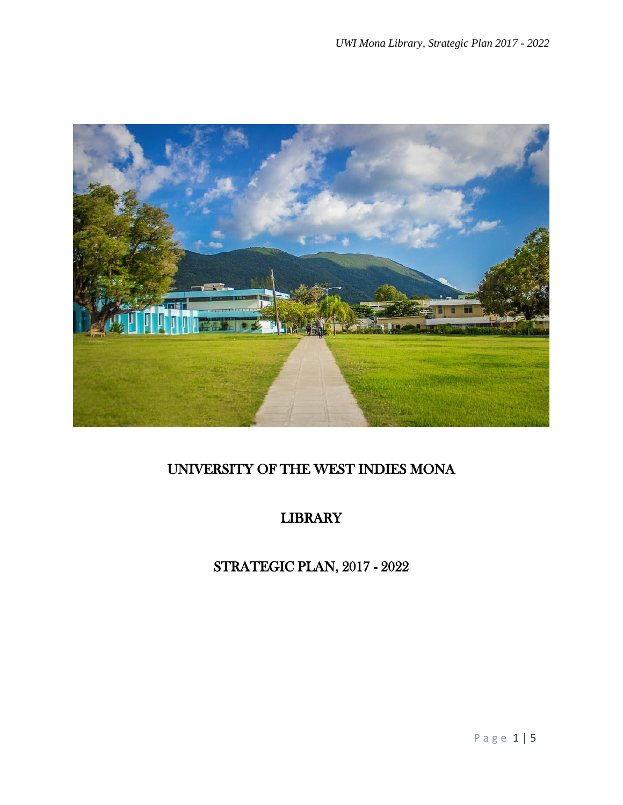

# UNIVERSITY OF THE WEST INDIES MONA

# LIBRARY

# STRATEGIC PLAN, 2017 - 2022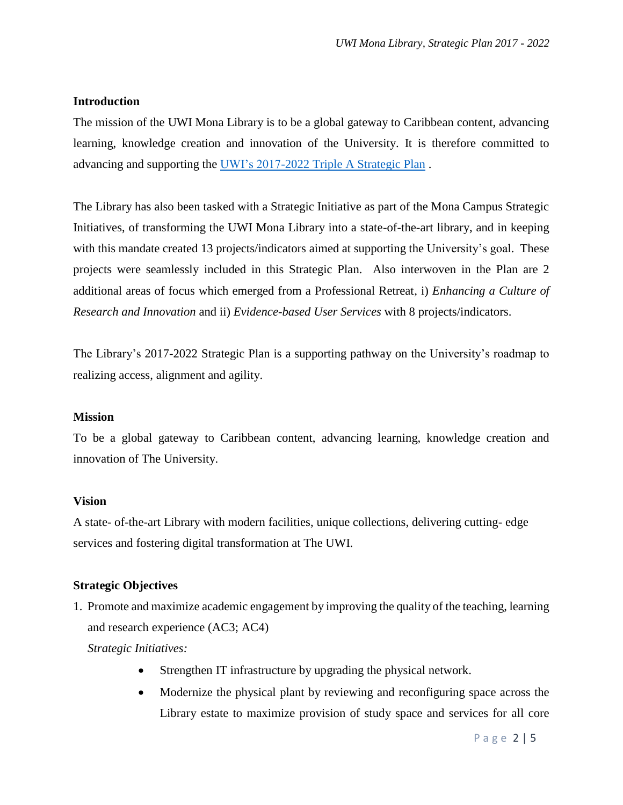### **Introduction**

The mission of the UWI Mona Library is to be a global gateway to Caribbean content, advancing learning, knowledge creation and innovation of the University. It is therefore committed to advancing and supporting the [UWI's 2017-2022 Triple A Strategic Plan](chrome-extension://efaidnbmnnnibpcajpcglclefindmkaj/viewer.html?pdfurl=https%3A%2F%2Fsta.uwi.edu%2Ffss%2Fheu%2Fsites%2Fdefault%2Ffiles%2Fheu%2FThe%2520UWI%2520Triple%2520A%2520Strategic%2520Plan%25202017%2520-%25202022%2520Full%2520Plan%2520.pdf&clen=293139&chunk=true) .

The Library has also been tasked with a Strategic Initiative as part of the Mona Campus Strategic Initiatives, of transforming the UWI Mona Library into a state-of-the-art library, and in keeping with this mandate created 13 projects/indicators aimed at supporting the University's goal. These projects were seamlessly included in this Strategic Plan. Also interwoven in the Plan are 2 additional areas of focus which emerged from a Professional Retreat, i) *Enhancing a Culture of Research and Innovation* and ii) *Evidence-based User Services* with 8 projects/indicators.

The Library's 2017-2022 Strategic Plan is a supporting pathway on the University's roadmap to realizing access, alignment and agility.

#### **Mission**

To be a global gateway to Caribbean content, advancing learning, knowledge creation and innovation of The University.

#### **Vision**

A state- of-the-art Library with modern facilities, unique collections, delivering cutting- edge services and fostering digital transformation at The UWI.

# **Strategic Objectives**

1. Promote and maximize academic engagement by improving the quality of the teaching, learning and research experience (AC3; AC4)

*Strategic Initiatives:* 

- Strengthen IT infrastructure by upgrading the physical network.
- Modernize the physical plant by reviewing and reconfiguring space across the Library estate to maximize provision of study space and services for all core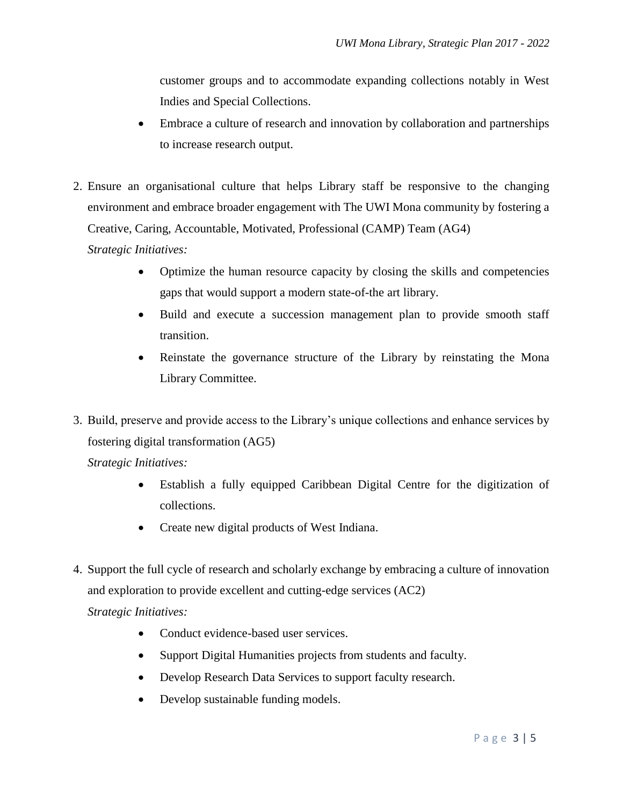customer groups and to accommodate expanding collections notably in West Indies and Special Collections.

- Embrace a culture of research and innovation by collaboration and partnerships to increase research output.
- 2. Ensure an organisational culture that helps Library staff be responsive to the changing environment and embrace broader engagement with The UWI Mona community by fostering a Creative, Caring, Accountable, Motivated, Professional (CAMP) Team (AG4)

*Strategic Initiatives:*

- Optimize the human resource capacity by closing the skills and competencies gaps that would support a modern state-of-the art library.
- Build and execute a succession management plan to provide smooth staff transition.
- Reinstate the governance structure of the Library by reinstating the Mona Library Committee.
- 3. Build, preserve and provide access to the Library's unique collections and enhance services by fostering digital transformation (AG5)

*Strategic Initiatives:*

- Establish a fully equipped Caribbean Digital Centre for the digitization of collections.
- Create new digital products of West Indiana.
- 4. Support the full cycle of research and scholarly exchange by embracing a culture of innovation and exploration to provide excellent and cutting-edge services (AC2) *Strategic Initiatives:* 
	- Conduct evidence-based user services.
	- Support Digital Humanities projects from students and faculty.
	- Develop Research Data Services to support faculty research.
	- Develop sustainable funding models.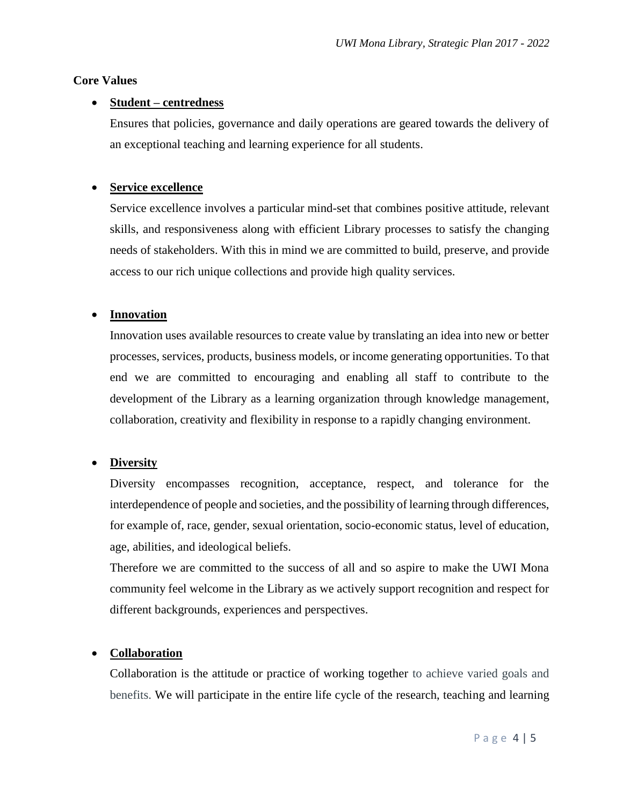#### **Core Values**

### **Student – centredness**

Ensures that policies, governance and daily operations are geared towards the delivery of an exceptional teaching and learning experience for all students.

# **Service excellence**

Service excellence involves a particular mind-set that combines positive attitude, relevant skills, and responsiveness along with efficient Library processes to satisfy the changing needs of stakeholders. With this in mind we are committed to build, preserve, and provide access to our rich unique collections and provide high quality services.

# **Innovation**

Innovation uses available resources to create value by translating an idea into new or better processes, services, products, business models, or income generating opportunities. To that end we are committed to encouraging and enabling all staff to contribute to the development of the Library as a learning organization through knowledge management, collaboration, creativity and flexibility in response to a rapidly changing environment.

# **Diversity**

Diversity encompasses recognition, acceptance, respect, and tolerance for the interdependence of people and societies, and the possibility of learning through differences, for example of, race, gender, sexual orientation, socio-economic status, level of education, age, abilities, and ideological beliefs.

Therefore we are committed to the success of all and so aspire to make the UWI Mona community feel welcome in the Library as we actively support recognition and respect for different backgrounds, experiences and perspectives.

# **Collaboration**

Collaboration is the attitude or practice of working together to achieve varied goals and benefits. We will participate in the entire life cycle of the research, teaching and learning